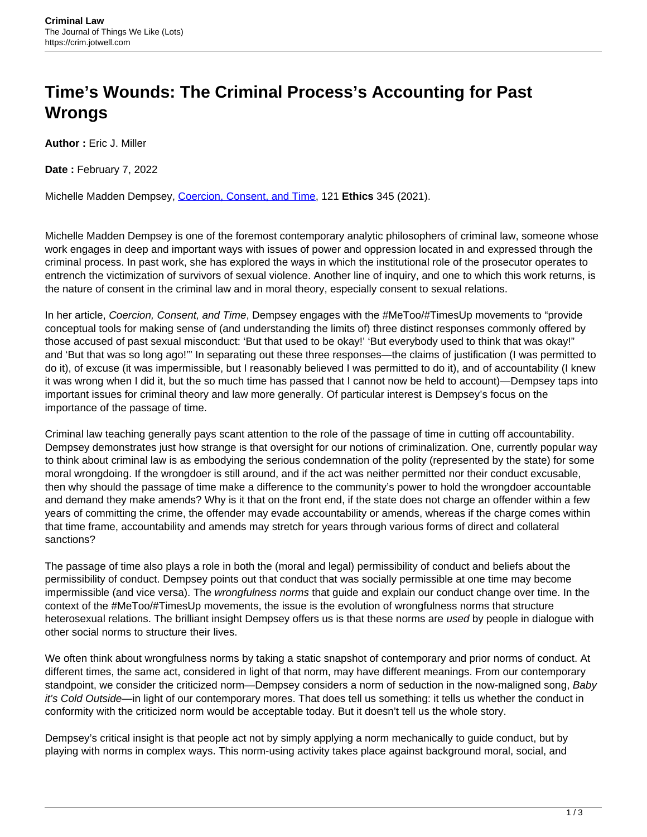## **Time's Wounds: The Criminal Process's Accounting for Past Wrongs**

**Author :** Eric J. Miller

**Date :** February 7, 2022

Michelle Madden Dempsey, [Coercion, Consent, and Time,](https://www.journals.uchicago.edu/doi/full/10.1086/711212) 121 **Ethics** 345 (2021).

Michelle Madden Dempsey is one of the foremost contemporary analytic philosophers of criminal law, someone whose work engages in deep and important ways with issues of power and oppression located in and expressed through the criminal process. In past work, she has explored the ways in which the institutional role of the prosecutor operates to entrench the victimization of survivors of sexual violence. Another line of inquiry, and one to which this work returns, is the nature of consent in the criminal law and in moral theory, especially consent to sexual relations.

In her article, Coercion, Consent, and Time, Dempsey engages with the #MeToo/#TimesUp movements to "provide conceptual tools for making sense of (and understanding the limits of) three distinct responses commonly offered by those accused of past sexual misconduct: 'But that used to be okay!' 'But everybody used to think that was okay!" and 'But that was so long ago!'" In separating out these three responses—the claims of justification (I was permitted to do it), of excuse (it was impermissible, but I reasonably believed I was permitted to do it), and of accountability (I knew it was wrong when I did it, but the so much time has passed that I cannot now be held to account)—Dempsey taps into important issues for criminal theory and law more generally. Of particular interest is Dempsey's focus on the importance of the passage of time.

Criminal law teaching generally pays scant attention to the role of the passage of time in cutting off accountability. Dempsey demonstrates just how strange is that oversight for our notions of criminalization. One, currently popular way to think about criminal law is as embodying the serious condemnation of the polity (represented by the state) for some moral wrongdoing. If the wrongdoer is still around, and if the act was neither permitted nor their conduct excusable, then why should the passage of time make a difference to the community's power to hold the wrongdoer accountable and demand they make amends? Why is it that on the front end, if the state does not charge an offender within a few years of committing the crime, the offender may evade accountability or amends, whereas if the charge comes within that time frame, accountability and amends may stretch for years through various forms of direct and collateral sanctions?

The passage of time also plays a role in both the (moral and legal) permissibility of conduct and beliefs about the permissibility of conduct. Dempsey points out that conduct that was socially permissible at one time may become impermissible (and vice versa). The wrongfulness norms that guide and explain our conduct change over time. In the context of the #MeToo/#TimesUp movements, the issue is the evolution of wrongfulness norms that structure heterosexual relations. The brilliant insight Dempsey offers us is that these norms are used by people in dialogue with other social norms to structure their lives.

We often think about wrongfulness norms by taking a static snapshot of contemporary and prior norms of conduct. At different times, the same act, considered in light of that norm, may have different meanings. From our contemporary standpoint, we consider the criticized norm—Dempsey considers a norm of seduction in the now-maligned song, Baby it's Cold Outside—in light of our contemporary mores. That does tell us something: it tells us whether the conduct in conformity with the criticized norm would be acceptable today. But it doesn't tell us the whole story.

Dempsey's critical insight is that people act not by simply applying a norm mechanically to guide conduct, but by playing with norms in complex ways. This norm-using activity takes place against background moral, social, and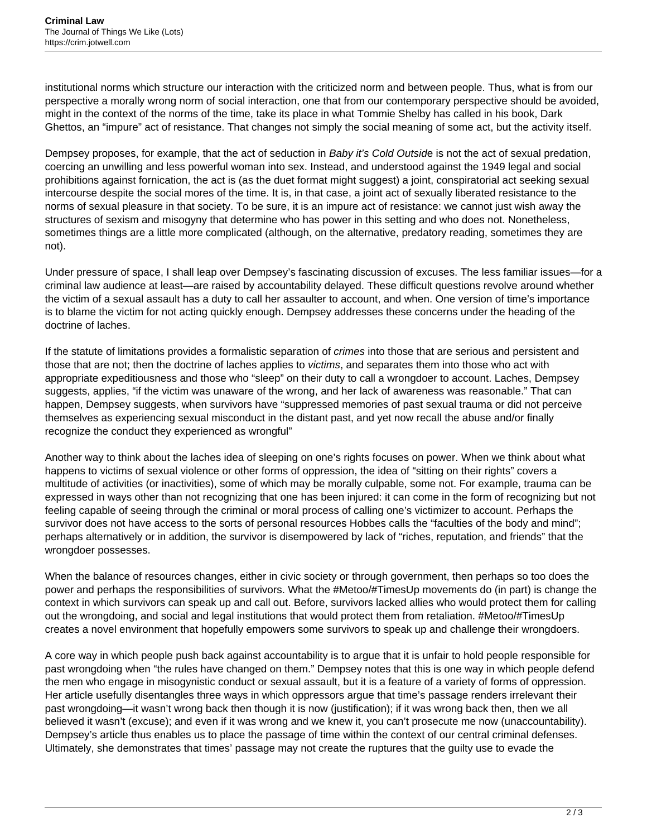institutional norms which structure our interaction with the criticized norm and between people. Thus, what is from our perspective a morally wrong norm of social interaction, one that from our contemporary perspective should be avoided, might in the context of the norms of the time, take its place in what Tommie Shelby has called in his book, Dark Ghettos, an "impure" act of resistance. That changes not simply the social meaning of some act, but the activity itself.

Dempsey proposes, for example, that the act of seduction in Baby it's Cold Outside is not the act of sexual predation, coercing an unwilling and less powerful woman into sex. Instead, and understood against the 1949 legal and social prohibitions against fornication, the act is (as the duet format might suggest) a joint, conspiratorial act seeking sexual intercourse despite the social mores of the time. It is, in that case, a joint act of sexually liberated resistance to the norms of sexual pleasure in that society. To be sure, it is an impure act of resistance: we cannot just wish away the structures of sexism and misogyny that determine who has power in this setting and who does not. Nonetheless, sometimes things are a little more complicated (although, on the alternative, predatory reading, sometimes they are not).

Under pressure of space, I shall leap over Dempsey's fascinating discussion of excuses. The less familiar issues—for a criminal law audience at least—are raised by accountability delayed. These difficult questions revolve around whether the victim of a sexual assault has a duty to call her assaulter to account, and when. One version of time's importance is to blame the victim for not acting quickly enough. Dempsey addresses these concerns under the heading of the doctrine of laches.

If the statute of limitations provides a formalistic separation of crimes into those that are serious and persistent and those that are not; then the doctrine of laches applies to victims, and separates them into those who act with appropriate expeditiousness and those who "sleep" on their duty to call a wrongdoer to account. Laches, Dempsey suggests, applies, "if the victim was unaware of the wrong, and her lack of awareness was reasonable." That can happen, Dempsey suggests, when survivors have "suppressed memories of past sexual trauma or did not perceive themselves as experiencing sexual misconduct in the distant past, and yet now recall the abuse and/or finally recognize the conduct they experienced as wrongful"

Another way to think about the laches idea of sleeping on one's rights focuses on power. When we think about what happens to victims of sexual violence or other forms of oppression, the idea of "sitting on their rights" covers a multitude of activities (or inactivities), some of which may be morally culpable, some not. For example, trauma can be expressed in ways other than not recognizing that one has been injured: it can come in the form of recognizing but not feeling capable of seeing through the criminal or moral process of calling one's victimizer to account. Perhaps the survivor does not have access to the sorts of personal resources Hobbes calls the "faculties of the body and mind"; perhaps alternatively or in addition, the survivor is disempowered by lack of "riches, reputation, and friends" that the wrongdoer possesses.

When the balance of resources changes, either in civic society or through government, then perhaps so too does the power and perhaps the responsibilities of survivors. What the #Metoo/#TimesUp movements do (in part) is change the context in which survivors can speak up and call out. Before, survivors lacked allies who would protect them for calling out the wrongdoing, and social and legal institutions that would protect them from retaliation. #Metoo/#TimesUp creates a novel environment that hopefully empowers some survivors to speak up and challenge their wrongdoers.

A core way in which people push back against accountability is to argue that it is unfair to hold people responsible for past wrongdoing when "the rules have changed on them." Dempsey notes that this is one way in which people defend the men who engage in misogynistic conduct or sexual assault, but it is a feature of a variety of forms of oppression. Her article usefully disentangles three ways in which oppressors argue that time's passage renders irrelevant their past wrongdoing—it wasn't wrong back then though it is now (justification); if it was wrong back then, then we all believed it wasn't (excuse); and even if it was wrong and we knew it, you can't prosecute me now (unaccountability). Dempsey's article thus enables us to place the passage of time within the context of our central criminal defenses. Ultimately, she demonstrates that times' passage may not create the ruptures that the guilty use to evade the